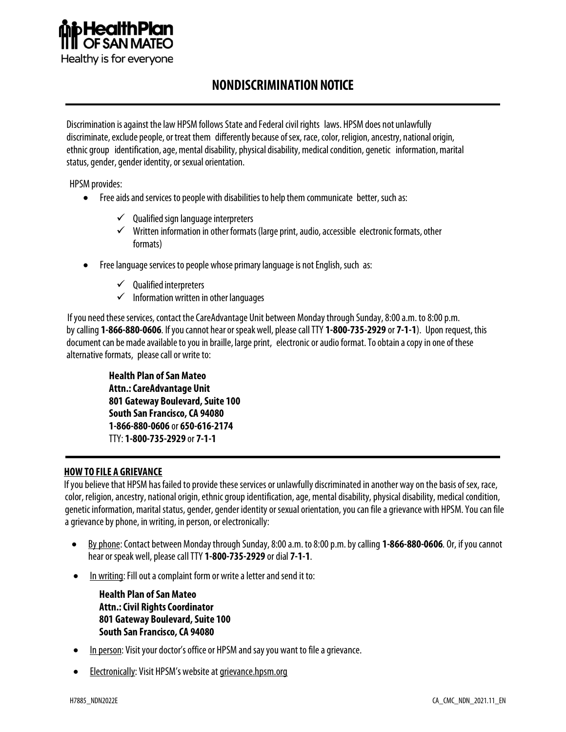

## NONDISCRIMINATION NOTICE

Discrimination is against the law HPSM follows State and Federal civil rights laws. HPSM does not unlawfully discriminate, exclude people, or treat them differently because of sex, race, color, religion, ancestry, national origin, ethnic group identification, age, mental disability, physical disability, medical condition, genetic information, marital status, gender, gender identity, or sexual orientation.

HPSM provides:

- Free aids and services to people with disabilities to help them communicate better, such as:
	- $\checkmark$  Qualified sign language interpreters
	- $\checkmark$  Written information in other formats (large print, audio, accessible electronic formats, other formats)
- Free language services to people whose primary language is not English, such as:
	- $\checkmark$  Qualified interpreters
	- $\checkmark$  Information written in other languages

If you need these services, contact the CareAdvantage Unit between Monday through Sunday, 8:00 a.m. to 8:00 p.m. by calling 1-866-880-0606. If you cannot hear or speak well, please call TTY 1-800-735-2929 or 7-1-1). Upon request, this document can be made available to you in braille, large print, electronic or audio format. To obtain a copy in one of these alternative formats, please call or write to:

Health Plan of San Mateo Attn.: CareAdvantage Unit 801 Gateway Boulevard, Suite 100 South San Francisco, CA 94080 1-866-880-0606 or 650-616-2174 TTY: 1-800-735-2929 or 7-1-1

## HOW TO FILE A GRIEVANCE

If you believe that HPSM has failed to provide these services or unlawfully discriminated in another way on the basis of sex, race, color, religion, ancestry, national origin, ethnic group identification, age, mental disability, physical disability, medical condition, genetic information, marital status, gender, gender identity or sexual orientation, you can file a grievance with HPSM. You can file a grievance by phone, in writing, in person, or electronically:

- By phone: Contact between Monday through Sunday, 8:00 a.m. to 8:00 p.m. by calling 1-866-880-0606. Or, if you cannot hear or speak well, please call TTY 1-800-735-2929 or dial 7-1-1.
- In writing: Fill out a complaint form or write a letter and send it to:

Health Plan of San Mateo Attn.: Civil Rights Coordinator 801 Gateway Boulevard, Suite 100 South San Francisco, CA 94080

- In person: Visit your doctor's office or HPSM and say you want to file a grievance.
- Electronically: Visit HPSM's website at grievance.hpsm.org